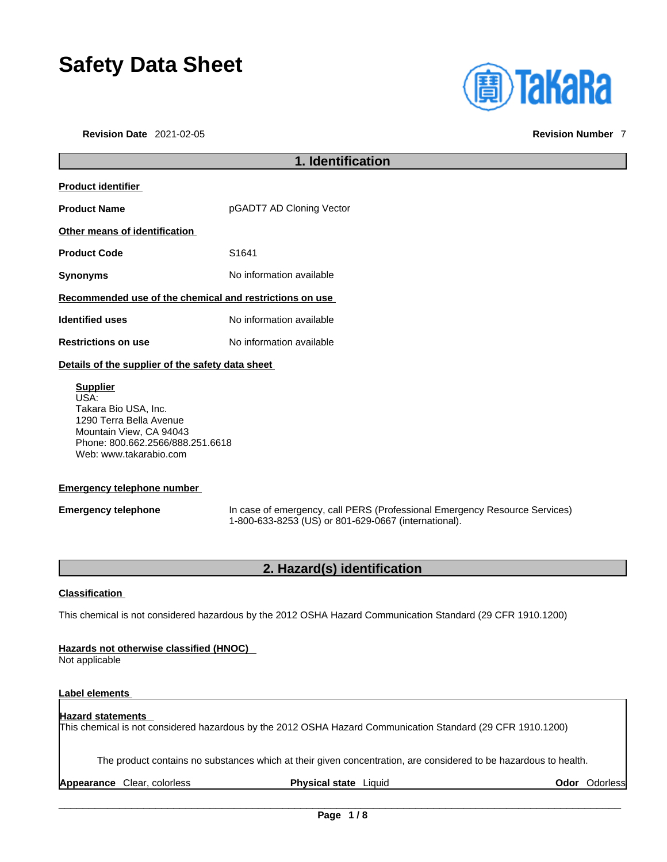# **Safety Data Sheet**

**Revision Date** 2021-02-05 **Revision Number** 7



# **1. Identification Product identifier Product Name pGADT7 AD Cloning Vector Other means of identification Product Code 51641 Synonyms** No information available **Recommended use of the chemical and restrictions on use Identified uses** No information available **Restrictions on use** No information available **Details of the supplier of the safety data sheet Supplier** USA: Takara Bio USA, Inc. 1290 Terra Bella Avenue Mountain View, CA 94043 Phone: 800.662.2566/888.251.6618

# **Emergency telephone number**

Web: www.takarabio.com

**Emergency telephone** In case of emergency, call PERS (Professional Emergency Resource Services) 1-800-633-8253 (US) or 801-629-0667 (international).

# **2. Hazard(s) identification**

# **Classification**

This chemical is not considered hazardous by the 2012 OSHA Hazard Communication Standard (29 CFR 1910.1200)

# **Hazards not otherwise classified (HNOC)**

Not applicable

# **Label elements**

# **Hazard statements**  This chemical is not considered hazardous by the 2012 OSHA Hazard Communication Standard (29 CFR 1910.1200)

The product contains no substances which at their given concentration, are considered to be hazardous to health.

**Appearance** Clear, colorless **Physical state** Liquid **Odor** Odorless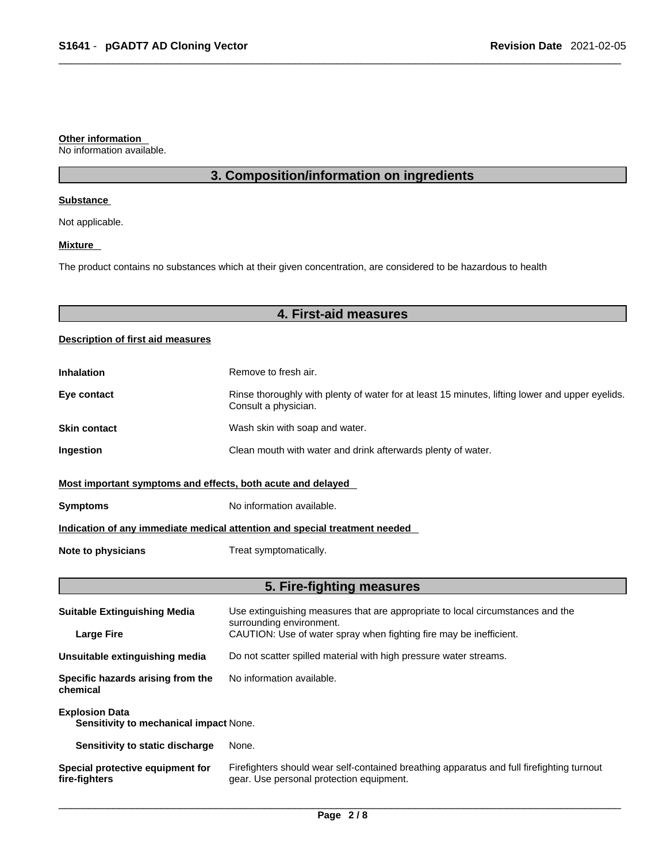### **Other information**

No information available.

# **3. Composition/information on ingredients**

### **Substance**

Not applicable.

# **Mixture**

The product contains no substances which at their given concentration, are considered to be hazardous to health

# **4. First-aid measures**

# **Description of first aid measures**

| <b>Inhalation</b>                                                          | Remove to fresh air.                                                                                                    |  |
|----------------------------------------------------------------------------|-------------------------------------------------------------------------------------------------------------------------|--|
| Eye contact                                                                | Rinse thoroughly with plenty of water for at least 15 minutes, lifting lower and upper eyelids.<br>Consult a physician. |  |
| <b>Skin contact</b>                                                        | Wash skin with soap and water.                                                                                          |  |
| Ingestion                                                                  | Clean mouth with water and drink afterwards plenty of water.                                                            |  |
| Most important symptoms and effects, both acute and delayed                |                                                                                                                         |  |
| <b>Symptoms</b>                                                            | No information available.                                                                                               |  |
| Indication of any immediate medical attention and special treatment needed |                                                                                                                         |  |
| Note to physicians                                                         | Treat symptomatically.                                                                                                  |  |

# **5. Fire-fighting measures**

| <b>Suitable Extinguishing Media</b>                             | Use extinguishing measures that are appropriate to local circumstances and the<br>surrounding environment.                            |  |
|-----------------------------------------------------------------|---------------------------------------------------------------------------------------------------------------------------------------|--|
| <b>Large Fire</b>                                               | CAUTION: Use of water spray when fighting fire may be inefficient.                                                                    |  |
| Unsuitable extinguishing media                                  | Do not scatter spilled material with high pressure water streams.                                                                     |  |
| Specific hazards arising from the<br>chemical                   | No information available.                                                                                                             |  |
| <b>Explosion Data</b><br>Sensitivity to mechanical impact None. |                                                                                                                                       |  |
| Sensitivity to static discharge                                 | None.                                                                                                                                 |  |
| Special protective equipment for<br>fire-fighters               | Firefighters should wear self-contained breathing apparatus and full firefighting turnout<br>gear. Use personal protection equipment. |  |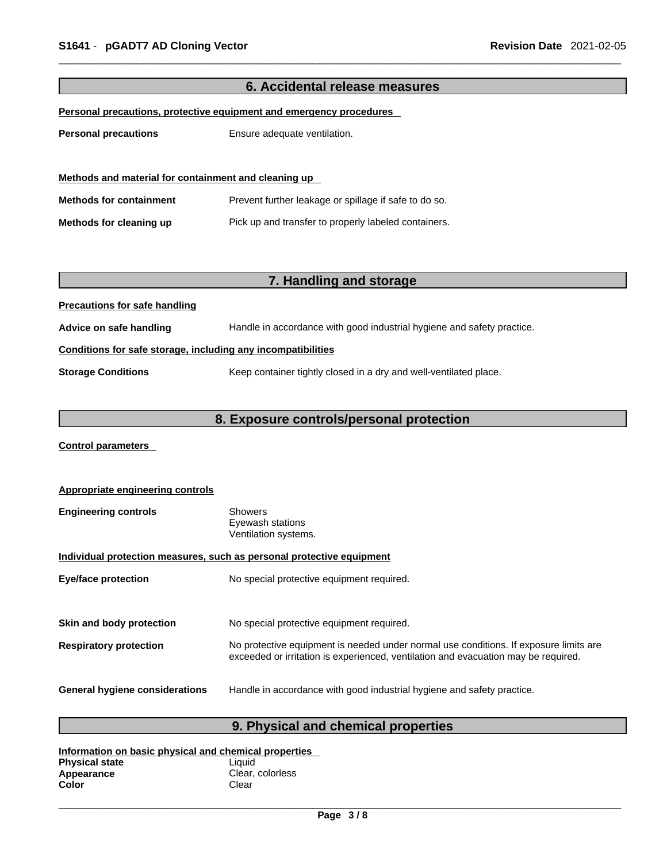| 6. Accidental release measures                                      |                                                                        |  |
|---------------------------------------------------------------------|------------------------------------------------------------------------|--|
| Personal precautions, protective equipment and emergency procedures |                                                                        |  |
|                                                                     |                                                                        |  |
| <b>Personal precautions</b>                                         | Ensure adequate ventilation.                                           |  |
|                                                                     |                                                                        |  |
| Methods and material for containment and cleaning up                |                                                                        |  |
| <b>Methods for containment</b>                                      | Prevent further leakage or spillage if safe to do so.                  |  |
| Methods for cleaning up                                             | Pick up and transfer to properly labeled containers.                   |  |
|                                                                     |                                                                        |  |
|                                                                     |                                                                        |  |
|                                                                     | 7. Handling and storage                                                |  |
| <b>Precautions for safe handling</b>                                |                                                                        |  |
| Advice on safe handling                                             | Handle in accordance with good industrial hygiene and safety practice. |  |
| Conditions for safe storage, including any incompatibilities        |                                                                        |  |
| <b>Storage Conditions</b>                                           | Keep container tightly closed in a dry and well-ventilated place.      |  |
|                                                                     |                                                                        |  |
| 8. Exposure controls/personal protection                            |                                                                        |  |

**Control parameters** 

| <b>Appropriate engineering controls</b>                               |                                                                                                                                                                             |  |
|-----------------------------------------------------------------------|-----------------------------------------------------------------------------------------------------------------------------------------------------------------------------|--|
| <b>Engineering controls</b>                                           | <b>Showers</b><br>Eyewash stations<br>Ventilation systems.                                                                                                                  |  |
| Individual protection measures, such as personal protective equipment |                                                                                                                                                                             |  |
| <b>Eye/face protection</b>                                            | No special protective equipment required.                                                                                                                                   |  |
|                                                                       |                                                                                                                                                                             |  |
| Skin and body protection                                              | No special protective equipment required.                                                                                                                                   |  |
| <b>Respiratory protection</b>                                         | No protective equipment is needed under normal use conditions. If exposure limits are<br>exceeded or irritation is experienced, ventilation and evacuation may be required. |  |
| <b>General hygiene considerations</b>                                 | Handle in accordance with good industrial hygiene and safety practice.                                                                                                      |  |

# **9. Physical and chemical properties**

| Information on basic physical and chemical properties |                  |  |
|-------------------------------------------------------|------------------|--|
| <b>Physical state</b>                                 | Liauid           |  |
| Appearance                                            | Clear, colorless |  |
| Color                                                 | Clear            |  |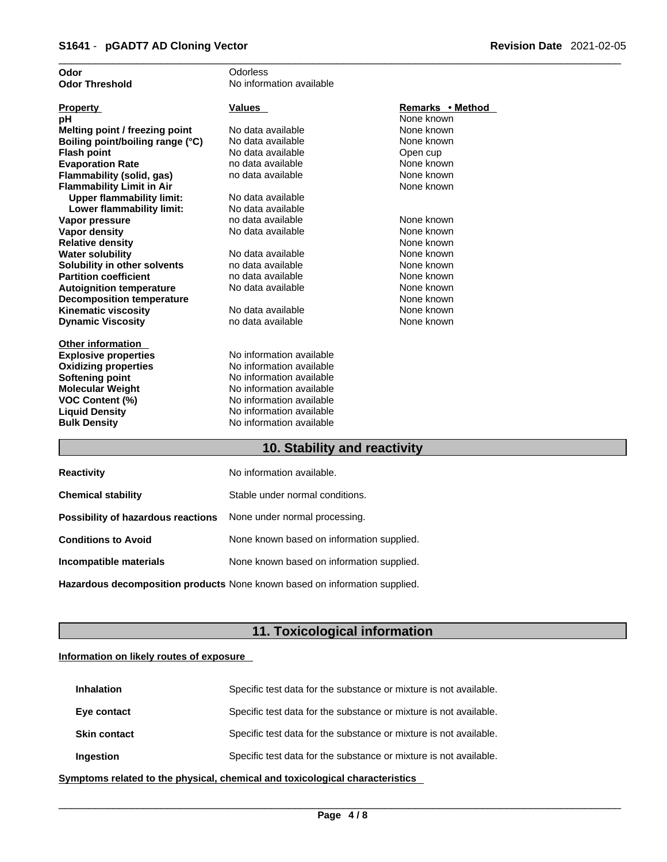| Odor                             | Odorless                 |                  |
|----------------------------------|--------------------------|------------------|
| <b>Odor Threshold</b>            | No information available |                  |
|                                  |                          |                  |
| <b>Property</b>                  | <b>Values</b>            | Remarks • Method |
| рH                               |                          | None known       |
| Melting point / freezing point   | No data available        | None known       |
| Boiling point/boiling range (°C) | No data available        | None known       |
| <b>Flash point</b>               | No data available        | Open cup         |
| <b>Evaporation Rate</b>          | no data available        | None known       |
| Flammability (solid, gas)        | no data available        | None known       |
| <b>Flammability Limit in Air</b> |                          | None known       |
| <b>Upper flammability limit:</b> | No data available        |                  |
| Lower flammability limit:        | No data available        |                  |
| Vapor pressure                   | no data available        | None known       |
| <b>Vapor density</b>             | No data available        | None known       |
| <b>Relative density</b>          |                          | None known       |
| <b>Water solubility</b>          | No data available        | None known       |
| Solubility in other solvents     | no data available        | None known       |
| <b>Partition coefficient</b>     | no data available        | None known       |
| <b>Autoignition temperature</b>  | No data available        | None known       |
| <b>Decomposition temperature</b> |                          | None known       |
| <b>Kinematic viscosity</b>       | No data available        | None known       |
| <b>Dynamic Viscosity</b>         | no data available        | None known       |
|                                  |                          |                  |
| <b>Other information</b>         |                          |                  |
| <b>Explosive properties</b>      | No information available |                  |
| <b>Oxidizing properties</b>      | No information available |                  |
| <b>Softening point</b>           | No information available |                  |
| <b>Molecular Weight</b>          | No information available |                  |
| <b>VOC Content (%)</b>           | No information available |                  |
| <b>Liquid Density</b>            | No information available |                  |
| <b>Bulk Density</b>              | No information available |                  |
|                                  |                          |                  |

# **10. Stability and reactivity**

| <b>Reactivity</b>                                                       | No information available.                 |
|-------------------------------------------------------------------------|-------------------------------------------|
| <b>Chemical stability</b>                                               | Stable under normal conditions.           |
| <b>Possibility of hazardous reactions</b> None under normal processing. |                                           |
| <b>Conditions to Avoid</b>                                              | None known based on information supplied. |
| Incompatible materials                                                  | None known based on information supplied. |
|                                                                         |                                           |

**Hazardous decomposition products** None known based on information supplied.

# **11. Toxicological information**

# **Information on likely routes of exposure**

| <b>Inhalation</b>   | Specific test data for the substance or mixture is not available. |
|---------------------|-------------------------------------------------------------------|
| Eye contact         | Specific test data for the substance or mixture is not available. |
| <b>Skin contact</b> | Specific test data for the substance or mixture is not available. |
| Ingestion           | Specific test data for the substance or mixture is not available. |

**<u>Symptoms related to the physical, chemical and toxicological characteristics</u>**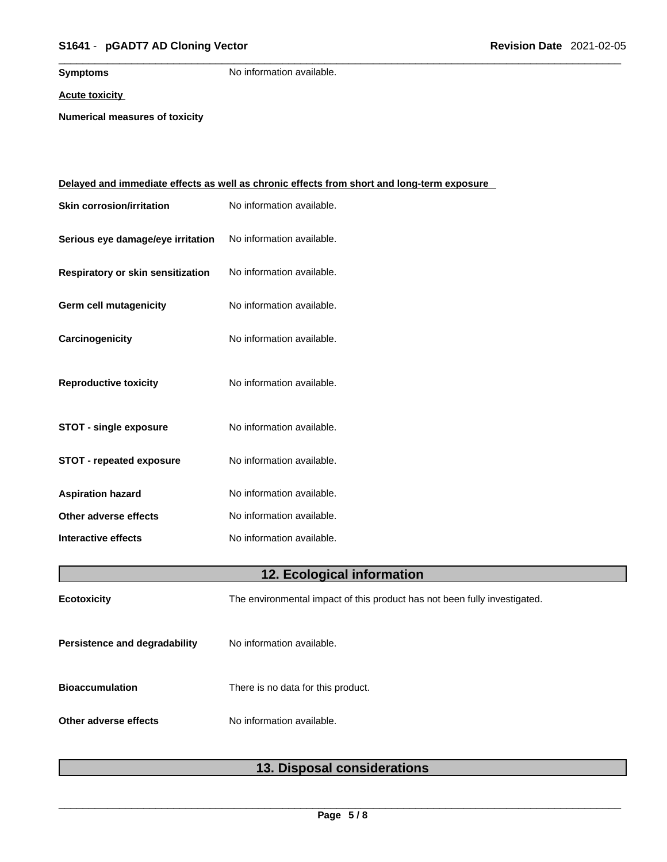# \_\_\_\_\_\_\_\_\_\_\_\_\_\_\_\_\_\_\_\_\_\_\_\_\_\_\_\_\_\_\_\_\_\_\_\_\_\_\_\_\_\_\_\_\_\_\_\_\_\_\_\_\_\_\_\_\_\_\_\_\_\_\_\_\_\_\_\_\_\_\_\_\_\_\_\_\_\_\_\_\_\_\_\_\_\_\_\_\_\_\_\_\_ **S1641** - **pGADT7 AD Cloning Vector Revision Date** 2021-02-05

**Symptoms** No information available.

**Acute toxicity**

**Numerical measures of toxicity**

|                                   | <u>Delayed and immediate effects as well as chronic effects from short and long-term exposure</u> |
|-----------------------------------|---------------------------------------------------------------------------------------------------|
| <b>Skin corrosion/irritation</b>  | No information available.                                                                         |
| Serious eye damage/eye irritation | No information available.                                                                         |
| Respiratory or skin sensitization | No information available.                                                                         |
| Germ cell mutagenicity            | No information available.                                                                         |
| Carcinogenicity                   | No information available.                                                                         |
| <b>Reproductive toxicity</b>      | No information available.                                                                         |
| <b>STOT - single exposure</b>     | No information available.                                                                         |
| <b>STOT - repeated exposure</b>   | No information available.                                                                         |
| <b>Aspiration hazard</b>          | No information available.                                                                         |
| Other adverse effects             | No information available.                                                                         |
| Interactive effects               | No information available.                                                                         |
|                                   | 12. Ecological information                                                                        |
| <b>Ecotoxicity</b>                | The environmental impact of this product has not been fully investigated.                         |
| Persistence and degradability     | No information available.                                                                         |
| <b>Bioaccumulation</b>            | There is no data for this product.                                                                |
| Other adverse effects             | No information available.                                                                         |
|                                   |                                                                                                   |

# **13. Disposal considerations**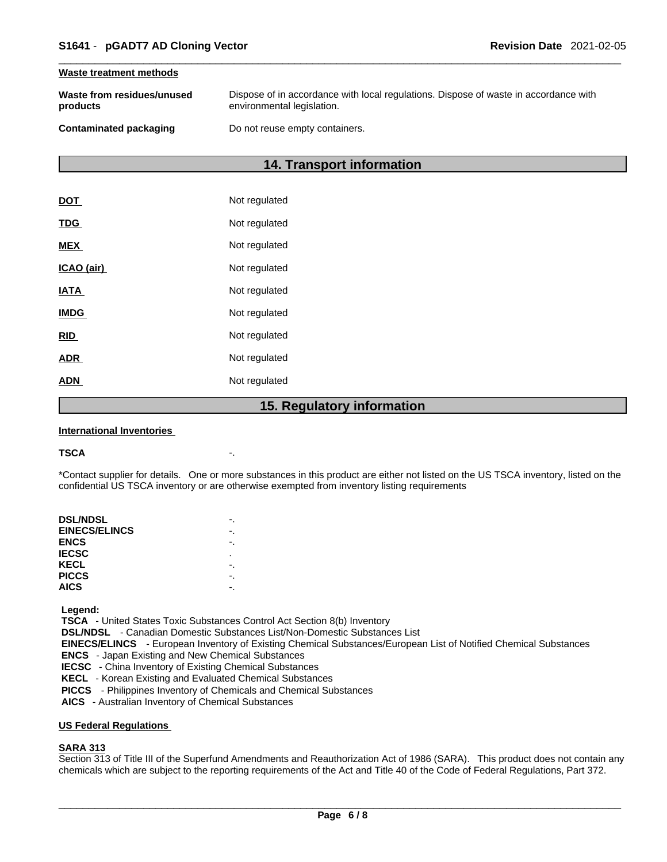### **Waste treatment methods**

| Waste from residues/unused | Dispose of in accordance with local regulations. Dispose of waste in accordance with |
|----------------------------|--------------------------------------------------------------------------------------|
| products                   | environmental legislation.                                                           |
| Contaminated packaging     | Do not reuse empty containers.                                                       |

# **14. Transport information**

|             | 15. Regulatory information |
|-------------|----------------------------|
| <b>ADN</b>  | Not regulated              |
| <b>ADR</b>  | Not regulated              |
| <b>RID</b>  | Not regulated              |
| <b>IMDG</b> | Not regulated              |
| <b>IATA</b> | Not regulated              |
| ICAO (air)  | Not regulated              |
| <b>MEX</b>  | Not regulated              |
| <b>TDG</b>  | Not regulated              |
| <b>DOT</b>  | Not regulated              |

### **International Inventories**

### **TSCA** -.

\*Contact supplier for details. One or more substances in this product are either not listed on the US TSCA inventory, listed on the confidential US TSCA inventory or are otherwise exempted from inventory listing requirements

| <b>DSL/NDSL</b>      |   |
|----------------------|---|
| <b>EINECS/ELINCS</b> |   |
| <b>ENCS</b>          |   |
| <b>IECSC</b>         | ٠ |
| KECL                 |   |
| <b>PICCS</b>         |   |
| <b>AICS</b>          |   |
|                      |   |

 **Legend:** 

 **TSCA** - United States Toxic Substances Control Act Section 8(b) Inventory

 **DSL/NDSL** - Canadian Domestic Substances List/Non-Domestic Substances List

 **EINECS/ELINCS** - European Inventory of Existing Chemical Substances/European List of Notified Chemical Substances

 **ENCS** - Japan Existing and New Chemical Substances

 **IECSC** - China Inventory of Existing Chemical Substances

 **KECL** - Korean Existing and Evaluated Chemical Substances

 **PICCS** - Philippines Inventory of Chemicals and Chemical Substances

 **AICS** - Australian Inventory of Chemical Substances

### **US Federal Regulations**

# **SARA 313**

Section 313 of Title III of the Superfund Amendments and Reauthorization Act of 1986 (SARA). This product does not contain any chemicals which are subject to the reporting requirements of the Act and Title 40 of the Code of Federal Regulations, Part 372.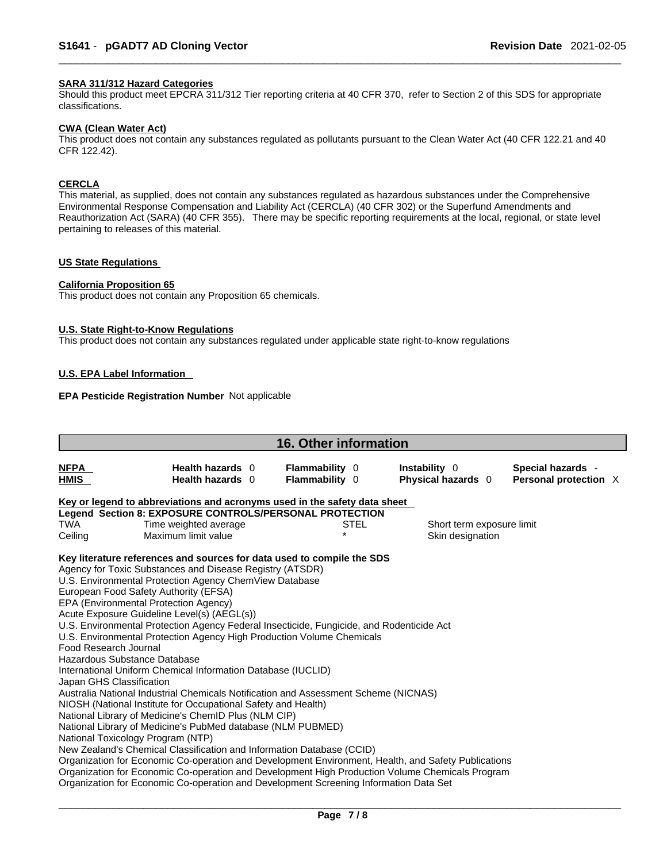# **SARA 311/312 Hazard Categories**

Should this product meet EPCRA 311/312 Tier reporting criteria at 40 CFR 370, refer to Section 2 of this SDS for appropriate classifications.

### **CWA (Clean WaterAct)**

This product does not contain any substances regulated as pollutants pursuant to the Clean Water Act (40 CFR 122.21 and 40 CFR 122.42).

# **CERCLA**

This material, as supplied, does not contain any substances regulated as hazardous substances under the Comprehensive Environmental Response Compensation and Liability Act (CERCLA) (40 CFR 302) or the Superfund Amendments and Reauthorization Act (SARA) (40 CFR 355). There may be specific reporting requirements at the local, regional, or state level pertaining to releases of this material.

# **US State Regulations**

### **California Proposition 65**

This product does not contain any Proposition 65 chemicals.

### **U.S. State Right-to-Know Regulations**

This product does not contain any substances regulated under applicable state right-to-know regulations

# **U.S. EPA Label Information**

# **EPA Pesticide Registration Number** Not applicable

| <b>16. Other information</b>                                              |                                                                                                                                                                                                                                                                                                                                                                                                                                                                                                                                                                                                                                                                                                                                                                                                                                                                                   |  |                                         |             |                                     |  |                                            |  |  |
|---------------------------------------------------------------------------|-----------------------------------------------------------------------------------------------------------------------------------------------------------------------------------------------------------------------------------------------------------------------------------------------------------------------------------------------------------------------------------------------------------------------------------------------------------------------------------------------------------------------------------------------------------------------------------------------------------------------------------------------------------------------------------------------------------------------------------------------------------------------------------------------------------------------------------------------------------------------------------|--|-----------------------------------------|-------------|-------------------------------------|--|--------------------------------------------|--|--|
| <b>NFPA</b><br>HMIS                                                       | Health hazards 0<br>Health hazards 0                                                                                                                                                                                                                                                                                                                                                                                                                                                                                                                                                                                                                                                                                                                                                                                                                                              |  | <b>Flammability 0</b><br>Flammability 0 |             | Instability 0<br>Physical hazards 0 |  | Special hazards -<br>Personal protection X |  |  |
| Key or legend to abbreviations and acronyms used in the safety data sheet |                                                                                                                                                                                                                                                                                                                                                                                                                                                                                                                                                                                                                                                                                                                                                                                                                                                                                   |  |                                         |             |                                     |  |                                            |  |  |
|                                                                           | Legend Section 8: EXPOSURE CONTROLS/PERSONAL PROTECTION                                                                                                                                                                                                                                                                                                                                                                                                                                                                                                                                                                                                                                                                                                                                                                                                                           |  |                                         |             |                                     |  |                                            |  |  |
| <b>TWA</b>                                                                | Time weighted average                                                                                                                                                                                                                                                                                                                                                                                                                                                                                                                                                                                                                                                                                                                                                                                                                                                             |  |                                         | <b>STEL</b> | Short term exposure limit           |  |                                            |  |  |
| Ceiling                                                                   | Maximum limit value                                                                                                                                                                                                                                                                                                                                                                                                                                                                                                                                                                                                                                                                                                                                                                                                                                                               |  |                                         |             | Skin designation                    |  |                                            |  |  |
| Food Research Journal<br>Japan GHS Classification                         | Key literature references and sources for data used to compile the SDS<br>Agency for Toxic Substances and Disease Registry (ATSDR)<br>U.S. Environmental Protection Agency ChemView Database<br>European Food Safety Authority (EFSA)<br>EPA (Environmental Protection Agency)<br>Acute Exposure Guideline Level(s) (AEGL(s))<br>U.S. Environmental Protection Agency Federal Insecticide, Fungicide, and Rodenticide Act<br>U.S. Environmental Protection Agency High Production Volume Chemicals<br>Hazardous Substance Database<br>International Uniform Chemical Information Database (IUCLID)<br>Australia National Industrial Chemicals Notification and Assessment Scheme (NICNAS)<br>NIOSH (National Institute for Occupational Safety and Health)<br>National Library of Medicine's ChemID Plus (NLM CIP)<br>National Library of Medicine's PubMed database (NLM PUBMED) |  |                                         |             |                                     |  |                                            |  |  |
|                                                                           | National Toxicology Program (NTP)<br>New Zealand's Chemical Classification and Information Database (CCID)<br>Organization for Economic Co-operation and Development Environment, Health, and Safety Publications<br>Organization for Economic Co-operation and Development High Production Volume Chemicals Program<br>Organization for Economic Co-operation and Development Screening Information Data Set                                                                                                                                                                                                                                                                                                                                                                                                                                                                     |  |                                         |             |                                     |  |                                            |  |  |